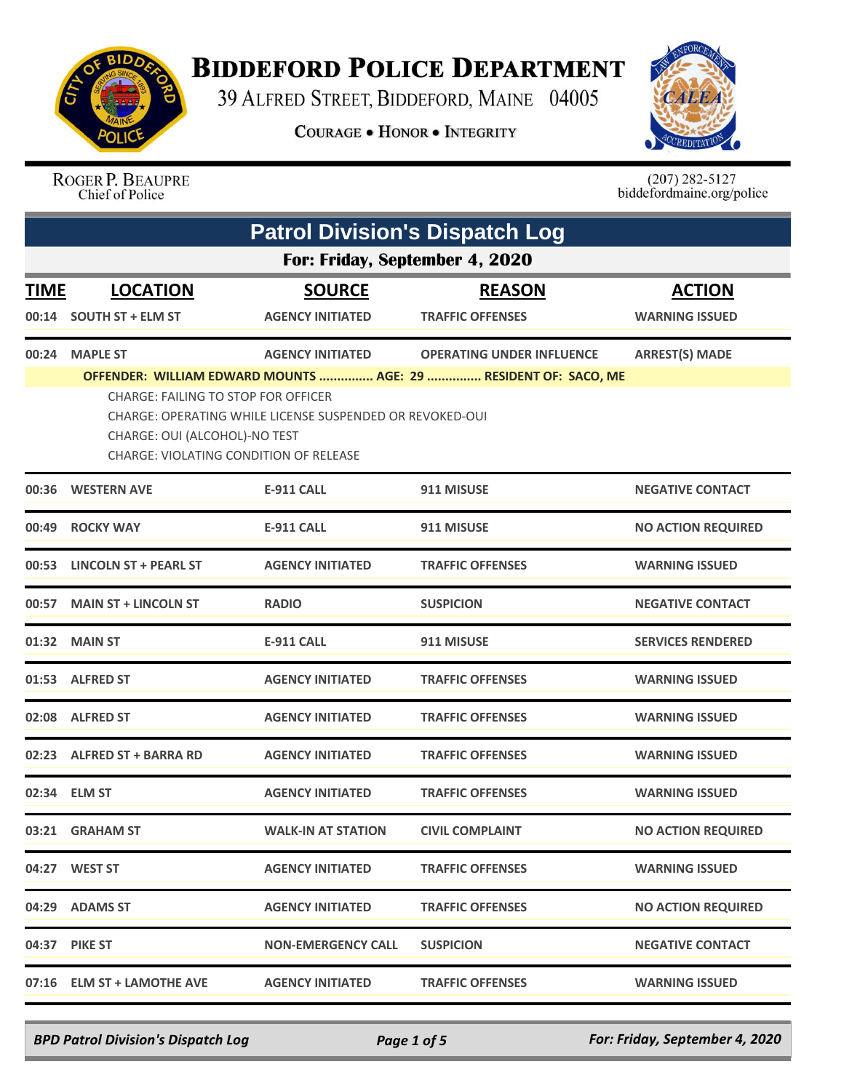

## **BIDDEFORD POLICE DEPARTMENT**

39 ALFRED STREET, BIDDEFORD, MAINE 04005

**COURAGE . HONOR . INTEGRITY** 



ROGER P. BEAUPRE<br>Chief of Police

 $(207)$  282-5127<br>biddefordmaine.org/police

|             | <b>Patrol Division's Dispatch Log</b>                                                                                                                                                                                                                |                           |                                  |                           |  |
|-------------|------------------------------------------------------------------------------------------------------------------------------------------------------------------------------------------------------------------------------------------------------|---------------------------|----------------------------------|---------------------------|--|
|             | For: Friday, September 4, 2020                                                                                                                                                                                                                       |                           |                                  |                           |  |
| <b>TIME</b> | <b>LOCATION</b>                                                                                                                                                                                                                                      | <b>SOURCE</b>             | <b>REASON</b>                    | <b>ACTION</b>             |  |
| 00:14       | <b>SOUTH ST + ELM ST</b>                                                                                                                                                                                                                             | <b>AGENCY INITIATED</b>   | <b>TRAFFIC OFFENSES</b>          | <b>WARNING ISSUED</b>     |  |
| 00:24       | <b>MAPLE ST</b>                                                                                                                                                                                                                                      | <b>AGENCY INITIATED</b>   | <b>OPERATING UNDER INFLUENCE</b> | <b>ARREST(S) MADE</b>     |  |
|             | OFFENDER: WILLIAM EDWARD MOUNTS  AGE: 29  RESIDENT OF: SACO, ME<br><b>CHARGE: FAILING TO STOP FOR OFFICER</b><br>CHARGE: OPERATING WHILE LICENSE SUSPENDED OR REVOKED-OUI<br>CHARGE: OUI (ALCOHOL)-NO TEST<br>CHARGE: VIOLATING CONDITION OF RELEASE |                           |                                  |                           |  |
|             | 00:36 WESTERN AVE                                                                                                                                                                                                                                    | <b>E-911 CALL</b>         | 911 MISUSE                       | <b>NEGATIVE CONTACT</b>   |  |
| 00:49       | <b>ROCKY WAY</b>                                                                                                                                                                                                                                     | <b>E-911 CALL</b>         | 911 MISUSE                       | <b>NO ACTION REQUIRED</b> |  |
|             | 00:53 LINCOLN ST + PEARL ST                                                                                                                                                                                                                          | <b>AGENCY INITIATED</b>   | <b>TRAFFIC OFFENSES</b>          | <b>WARNING ISSUED</b>     |  |
| 00:57       | <b>MAIN ST + LINCOLN ST</b>                                                                                                                                                                                                                          | <b>RADIO</b>              | <b>SUSPICION</b>                 | <b>NEGATIVE CONTACT</b>   |  |
|             | 01:32 MAIN ST                                                                                                                                                                                                                                        | <b>E-911 CALL</b>         | 911 MISUSE                       | <b>SERVICES RENDERED</b>  |  |
|             | 01:53 ALFRED ST                                                                                                                                                                                                                                      | <b>AGENCY INITIATED</b>   | <b>TRAFFIC OFFENSES</b>          | <b>WARNING ISSUED</b>     |  |
|             | 02:08 ALFRED ST                                                                                                                                                                                                                                      | <b>AGENCY INITIATED</b>   | <b>TRAFFIC OFFENSES</b>          | <b>WARNING ISSUED</b>     |  |
|             | 02:23 ALFRED ST + BARRA RD                                                                                                                                                                                                                           | <b>AGENCY INITIATED</b>   | <b>TRAFFIC OFFENSES</b>          | <b>WARNING ISSUED</b>     |  |
|             | 02:34 ELM ST                                                                                                                                                                                                                                         | <b>AGENCY INITIATED</b>   | <b>TRAFFIC OFFENSES</b>          | <b>WARNING ISSUED</b>     |  |
|             | 03:21 GRAHAM ST                                                                                                                                                                                                                                      | <b>WALK-IN AT STATION</b> | <b>CIVIL COMPLAINT</b>           | <b>NO ACTION REQUIRED</b> |  |
|             | 04:27 WEST ST                                                                                                                                                                                                                                        | <b>AGENCY INITIATED</b>   | <b>TRAFFIC OFFENSES</b>          | <b>WARNING ISSUED</b>     |  |
|             | 04:29 ADAMS ST                                                                                                                                                                                                                                       | <b>AGENCY INITIATED</b>   | <b>TRAFFIC OFFENSES</b>          | <b>NO ACTION REQUIRED</b> |  |
|             | 04:37 PIKE ST                                                                                                                                                                                                                                        | <b>NON-EMERGENCY CALL</b> | <b>SUSPICION</b>                 | <b>NEGATIVE CONTACT</b>   |  |
|             | 07:16 ELM ST + LAMOTHE AVE                                                                                                                                                                                                                           | <b>AGENCY INITIATED</b>   | <b>TRAFFIC OFFENSES</b>          | <b>WARNING ISSUED</b>     |  |

*BPD Patrol Division's Dispatch Log Page 1 of 5 For: Friday, September 4, 2020*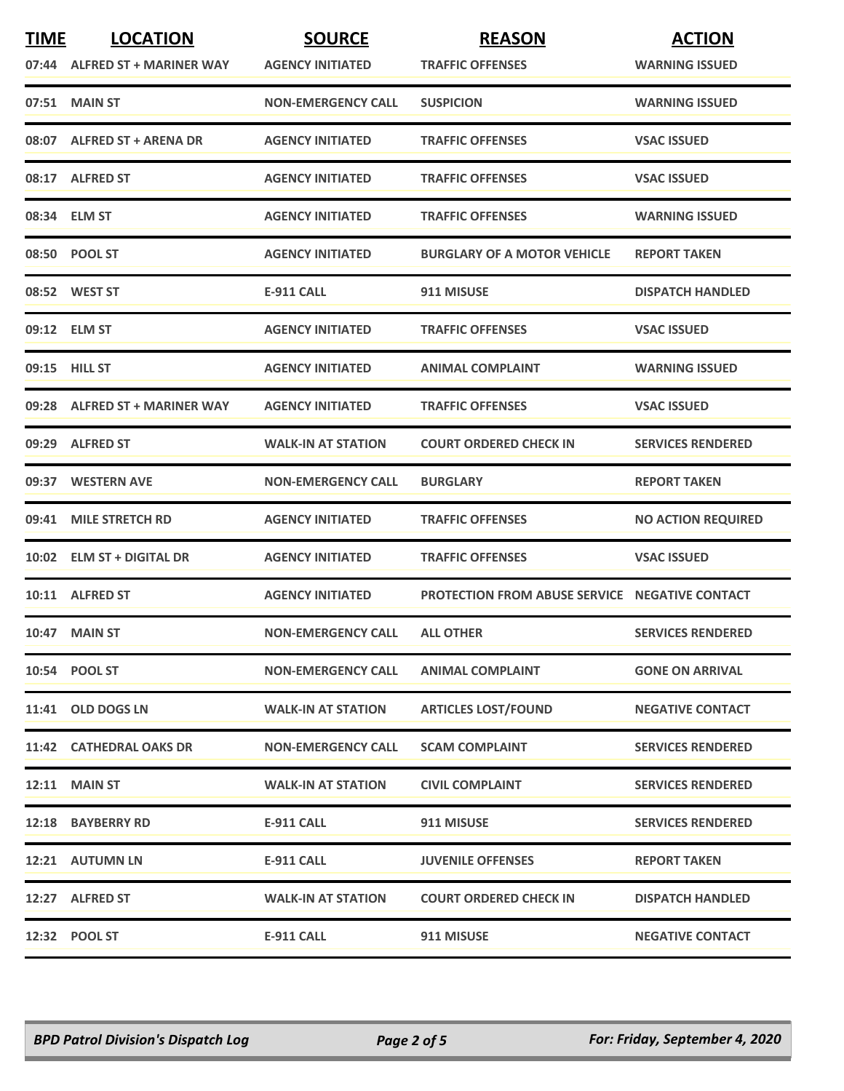| <b>TIME</b> | <b>LOCATION</b>               | <b>SOURCE</b>             | <b>REASON</b>                                         | <b>ACTION</b>             |
|-------------|-------------------------------|---------------------------|-------------------------------------------------------|---------------------------|
|             | 07:44 ALFRED ST + MARINER WAY | <b>AGENCY INITIATED</b>   | <b>TRAFFIC OFFENSES</b>                               | <b>WARNING ISSUED</b>     |
|             | 07:51 MAIN ST                 | <b>NON-EMERGENCY CALL</b> | <b>SUSPICION</b>                                      | <b>WARNING ISSUED</b>     |
| 08:07       | <b>ALFRED ST + ARENA DR</b>   | <b>AGENCY INITIATED</b>   | <b>TRAFFIC OFFENSES</b>                               | <b>VSAC ISSUED</b>        |
|             | 08:17 ALFRED ST               | <b>AGENCY INITIATED</b>   | <b>TRAFFIC OFFENSES</b>                               | <b>VSAC ISSUED</b>        |
|             | 08:34 ELM ST                  | <b>AGENCY INITIATED</b>   | <b>TRAFFIC OFFENSES</b>                               | <b>WARNING ISSUED</b>     |
|             | 08:50 POOL ST                 | <b>AGENCY INITIATED</b>   | <b>BURGLARY OF A MOTOR VEHICLE</b>                    | <b>REPORT TAKEN</b>       |
|             | 08:52 WEST ST                 | E-911 CALL                | 911 MISUSE                                            | <b>DISPATCH HANDLED</b>   |
|             | 09:12 ELM ST                  | <b>AGENCY INITIATED</b>   | <b>TRAFFIC OFFENSES</b>                               | <b>VSAC ISSUED</b>        |
|             | 09:15 HILL ST                 | <b>AGENCY INITIATED</b>   | <b>ANIMAL COMPLAINT</b>                               | <b>WARNING ISSUED</b>     |
|             | 09:28 ALFRED ST + MARINER WAY | <b>AGENCY INITIATED</b>   | <b>TRAFFIC OFFENSES</b>                               | <b>VSAC ISSUED</b>        |
|             | 09:29 ALFRED ST               | <b>WALK-IN AT STATION</b> | <b>COURT ORDERED CHECK IN</b>                         | <b>SERVICES RENDERED</b>  |
|             | 09:37 WESTERN AVE             | <b>NON-EMERGENCY CALL</b> | <b>BURGLARY</b>                                       | <b>REPORT TAKEN</b>       |
| 09:41       | <b>MILE STRETCH RD</b>        | <b>AGENCY INITIATED</b>   | <b>TRAFFIC OFFENSES</b>                               | <b>NO ACTION REQUIRED</b> |
|             | 10:02 ELM ST + DIGITAL DR     | <b>AGENCY INITIATED</b>   | <b>TRAFFIC OFFENSES</b>                               | <b>VSAC ISSUED</b>        |
|             | 10:11 ALFRED ST               | <b>AGENCY INITIATED</b>   | <b>PROTECTION FROM ABUSE SERVICE NEGATIVE CONTACT</b> |                           |
|             | <b>10:47 MAIN ST</b>          | <b>NON-EMERGENCY CALL</b> | <b>ALL OTHER</b>                                      | <b>SERVICES RENDERED</b>  |
|             | 10:54 POOL ST                 | <b>NON-EMERGENCY CALL</b> | <b>ANIMAL COMPLAINT</b>                               | <b>GONE ON ARRIVAL</b>    |
|             | 11:41 OLD DOGS LN             | <b>WALK-IN AT STATION</b> | <b>ARTICLES LOST/FOUND</b>                            | <b>NEGATIVE CONTACT</b>   |
|             | 11:42 CATHEDRAL OAKS DR       | <b>NON-EMERGENCY CALL</b> | <b>SCAM COMPLAINT</b>                                 | <b>SERVICES RENDERED</b>  |
|             | <b>12:11 MAIN ST</b>          | <b>WALK-IN AT STATION</b> | <b>CIVIL COMPLAINT</b>                                | <b>SERVICES RENDERED</b>  |
|             | 12:18 BAYBERRY RD             | E-911 CALL                | 911 MISUSE                                            | <b>SERVICES RENDERED</b>  |
|             | 12:21 AUTUMN LN               | E-911 CALL                | <b>JUVENILE OFFENSES</b>                              | <b>REPORT TAKEN</b>       |
|             | 12:27 ALFRED ST               | <b>WALK-IN AT STATION</b> | <b>COURT ORDERED CHECK IN</b>                         | <b>DISPATCH HANDLED</b>   |
|             | 12:32 POOL ST                 | <b>E-911 CALL</b>         | 911 MISUSE                                            | <b>NEGATIVE CONTACT</b>   |
|             |                               |                           |                                                       |                           |

*BPD Patrol Division's Dispatch Log Page 2 of 5 For: Friday, September 4, 2020*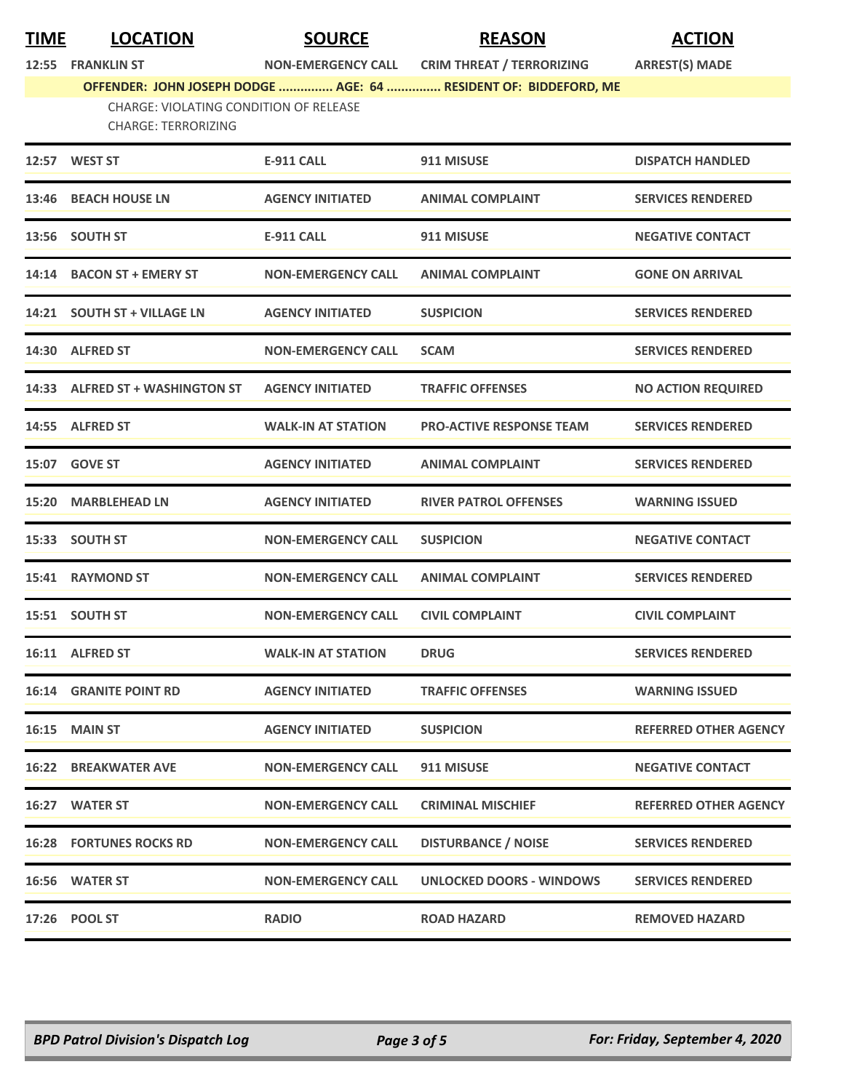**TIME LOCATION SOURCE REASON ACTION**

**12:55 FRANKLIN ST NON-EMERGENCY CALL CRIM THREAT / TERRORIZING ARREST(S) MADE**

**OFFENDER: JOHN JOSEPH DODGE ............... AGE: 64 ............... RESIDENT OF: BIDDEFORD, ME**

CHARGE: VIOLATING CONDITION OF RELEASE CHARGE: TERRORIZING

| 12:57 WEST ST                   | <b>E-911 CALL</b>         | 911 MISUSE                      | <b>DISPATCH HANDLED</b>      |
|---------------------------------|---------------------------|---------------------------------|------------------------------|
| 13:46 BEACH HOUSE LN            | <b>AGENCY INITIATED</b>   | <b>ANIMAL COMPLAINT</b>         | <b>SERVICES RENDERED</b>     |
| 13:56 SOUTH ST                  | <b>E-911 CALL</b>         | 911 MISUSE                      | <b>NEGATIVE CONTACT</b>      |
| 14:14 BACON ST + EMERY ST       | <b>NON-EMERGENCY CALL</b> | <b>ANIMAL COMPLAINT</b>         | <b>GONE ON ARRIVAL</b>       |
| 14:21 SOUTH ST + VILLAGE LN     | <b>AGENCY INITIATED</b>   | <b>SUSPICION</b>                | <b>SERVICES RENDERED</b>     |
| 14:30 ALFRED ST                 | <b>NON-EMERGENCY CALL</b> | <b>SCAM</b>                     | <b>SERVICES RENDERED</b>     |
| 14:33 ALFRED ST + WASHINGTON ST | <b>AGENCY INITIATED</b>   | <b>TRAFFIC OFFENSES</b>         | <b>NO ACTION REQUIRED</b>    |
| 14:55 ALFRED ST                 | <b>WALK-IN AT STATION</b> | <b>PRO-ACTIVE RESPONSE TEAM</b> | <b>SERVICES RENDERED</b>     |
| 15:07 GOVE ST                   | <b>AGENCY INITIATED</b>   | <b>ANIMAL COMPLAINT</b>         | <b>SERVICES RENDERED</b>     |
| 15:20 MARBLEHEAD LN             | <b>AGENCY INITIATED</b>   | <b>RIVER PATROL OFFENSES</b>    | <b>WARNING ISSUED</b>        |
| 15:33 SOUTH ST                  | <b>NON-EMERGENCY CALL</b> | <b>SUSPICION</b>                | <b>NEGATIVE CONTACT</b>      |
| 15:41 RAYMOND ST                | <b>NON-EMERGENCY CALL</b> | <b>ANIMAL COMPLAINT</b>         | <b>SERVICES RENDERED</b>     |
| 15:51 SOUTH ST                  | <b>NON-EMERGENCY CALL</b> | <b>CIVIL COMPLAINT</b>          | <b>CIVIL COMPLAINT</b>       |
| 16:11 ALFRED ST                 | <b>WALK-IN AT STATION</b> | <b>DRUG</b>                     | <b>SERVICES RENDERED</b>     |
| <b>16:14 GRANITE POINT RD</b>   | <b>AGENCY INITIATED</b>   | <b>TRAFFIC OFFENSES</b>         | <b>WARNING ISSUED</b>        |
| 16:15 MAIN ST                   | <b>AGENCY INITIATED</b>   | <b>SUSPICION</b>                | <b>REFERRED OTHER AGENCY</b> |
| <b>16:22 BREAKWATER AVE</b>     | <b>NON-EMERGENCY CALL</b> | 911 MISUSE                      | <b>NEGATIVE CONTACT</b>      |
| 16:27 WATER ST                  | <b>NON-EMERGENCY CALL</b> | <b>CRIMINAL MISCHIEF</b>        | <b>REFERRED OTHER AGENCY</b> |
| <b>16:28 FORTUNES ROCKS RD</b>  | <b>NON-EMERGENCY CALL</b> | <b>DISTURBANCE / NOISE</b>      | <b>SERVICES RENDERED</b>     |
| 16:56 WATER ST                  | <b>NON-EMERGENCY CALL</b> | <b>UNLOCKED DOORS - WINDOWS</b> | <b>SERVICES RENDERED</b>     |
| 17:26 POOL ST                   | <b>RADIO</b>              | <b>ROAD HAZARD</b>              | <b>REMOVED HAZARD</b>        |
|                                 |                           |                                 |                              |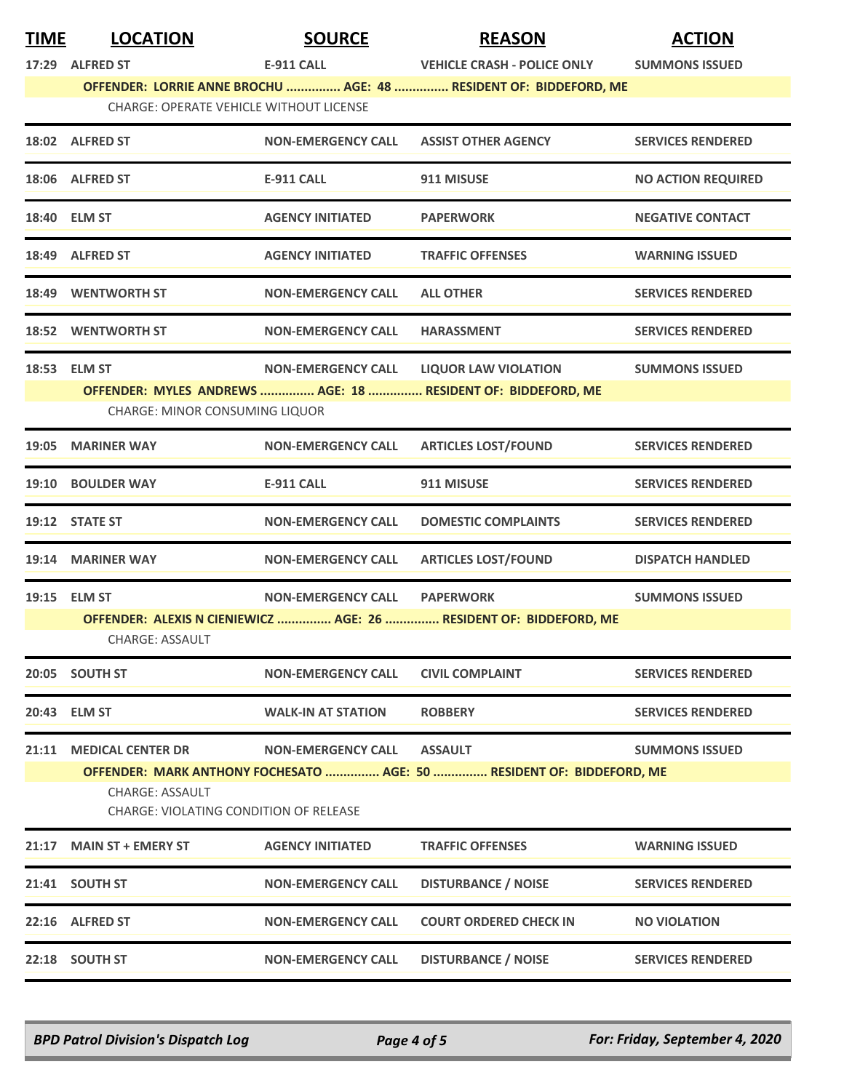| <b>TIME</b> | <b>LOCATION</b>                                                  | <b>SOURCE</b>             | <b>REASON</b>                                                         | <b>ACTION</b>             |  |
|-------------|------------------------------------------------------------------|---------------------------|-----------------------------------------------------------------------|---------------------------|--|
| 17:29       | <b>ALFRED ST</b>                                                 | <b>E-911 CALL</b>         | <b>VEHICLE CRASH - POLICE ONLY</b>                                    | <b>SUMMONS ISSUED</b>     |  |
|             |                                                                  |                           | OFFENDER: LORRIE ANNE BROCHU  AGE: 48  RESIDENT OF: BIDDEFORD, ME     |                           |  |
|             | <b>CHARGE: OPERATE VEHICLE WITHOUT LICENSE</b>                   |                           |                                                                       |                           |  |
|             | 18:02 ALFRED ST                                                  | <b>NON-EMERGENCY CALL</b> | <b>ASSIST OTHER AGENCY</b>                                            | <b>SERVICES RENDERED</b>  |  |
|             | 18:06 ALFRED ST                                                  | <b>E-911 CALL</b>         | 911 MISUSE                                                            | <b>NO ACTION REQUIRED</b> |  |
|             | 18:40 ELM ST                                                     | <b>AGENCY INITIATED</b>   | <b>PAPERWORK</b>                                                      | <b>NEGATIVE CONTACT</b>   |  |
|             | 18:49 ALFRED ST                                                  | <b>AGENCY INITIATED</b>   | <b>TRAFFIC OFFENSES</b>                                               | <b>WARNING ISSUED</b>     |  |
|             | <b>18:49 WENTWORTH ST</b>                                        | <b>NON-EMERGENCY CALL</b> | <b>ALL OTHER</b>                                                      | <b>SERVICES RENDERED</b>  |  |
|             | 18:52 WENTWORTH ST                                               | <b>NON-EMERGENCY CALL</b> | <b>HARASSMENT</b>                                                     | <b>SERVICES RENDERED</b>  |  |
|             | 18:53 ELM ST                                                     | <b>NON-EMERGENCY CALL</b> | <b>LIQUOR LAW VIOLATION</b>                                           | <b>SUMMONS ISSUED</b>     |  |
|             |                                                                  |                           | OFFENDER: MYLES ANDREWS  AGE: 18  RESIDENT OF: BIDDEFORD, ME          |                           |  |
|             | <b>CHARGE: MINOR CONSUMING LIQUOR</b>                            |                           |                                                                       |                           |  |
|             | 19:05 MARINER WAY                                                | <b>NON-EMERGENCY CALL</b> | <b>ARTICLES LOST/FOUND</b>                                            | <b>SERVICES RENDERED</b>  |  |
|             | 19:10 BOULDER WAY                                                | <b>E-911 CALL</b>         | 911 MISUSE                                                            | <b>SERVICES RENDERED</b>  |  |
|             | 19:12 STATE ST                                                   | <b>NON-EMERGENCY CALL</b> | <b>DOMESTIC COMPLAINTS</b>                                            | <b>SERVICES RENDERED</b>  |  |
|             | 19:14 MARINER WAY                                                | <b>NON-EMERGENCY CALL</b> | <b>ARTICLES LOST/FOUND</b>                                            | <b>DISPATCH HANDLED</b>   |  |
|             | 19:15 ELM ST                                                     | <b>NON-EMERGENCY CALL</b> | <b>PAPERWORK</b>                                                      | <b>SUMMONS ISSUED</b>     |  |
|             |                                                                  |                           | OFFENDER: ALEXIS N CIENIEWICZ  AGE: 26  RESIDENT OF: BIDDEFORD, ME    |                           |  |
|             | <b>CHARGE: ASSAULT</b>                                           |                           |                                                                       |                           |  |
|             | 20:05 SOUTH ST                                                   | <b>NON-EMERGENCY CALL</b> | <b>CIVIL COMPLAINT</b>                                                | <b>SERVICES RENDERED</b>  |  |
|             | 20:43 ELM ST                                                     | <b>WALK-IN AT STATION</b> | <b>ROBBERY</b>                                                        | <b>SERVICES RENDERED</b>  |  |
|             | 21:11 MEDICAL CENTER DR                                          | <b>NON-EMERGENCY CALL</b> | <b>ASSAULT</b>                                                        | <b>SUMMONS ISSUED</b>     |  |
|             |                                                                  |                           | OFFENDER: MARK ANTHONY FOCHESATO  AGE: 50  RESIDENT OF: BIDDEFORD, ME |                           |  |
|             | <b>CHARGE: ASSAULT</b><br>CHARGE: VIOLATING CONDITION OF RELEASE |                           |                                                                       |                           |  |
| 21:17       | <b>MAIN ST + EMERY ST</b>                                        | <b>AGENCY INITIATED</b>   | <b>TRAFFIC OFFENSES</b>                                               | <b>WARNING ISSUED</b>     |  |
|             | 21:41 SOUTH ST                                                   | <b>NON-EMERGENCY CALL</b> | <b>DISTURBANCE / NOISE</b>                                            | <b>SERVICES RENDERED</b>  |  |
|             | 22:16 ALFRED ST                                                  | <b>NON-EMERGENCY CALL</b> | <b>COURT ORDERED CHECK IN</b>                                         | <b>NO VIOLATION</b>       |  |
|             | 22:18 SOUTH ST                                                   | <b>NON-EMERGENCY CALL</b> | <b>DISTURBANCE / NOISE</b>                                            | <b>SERVICES RENDERED</b>  |  |
|             |                                                                  |                           |                                                                       |                           |  |

*BPD Patrol Division's Dispatch Log Page 4 of 5 For: Friday, September 4, 2020*